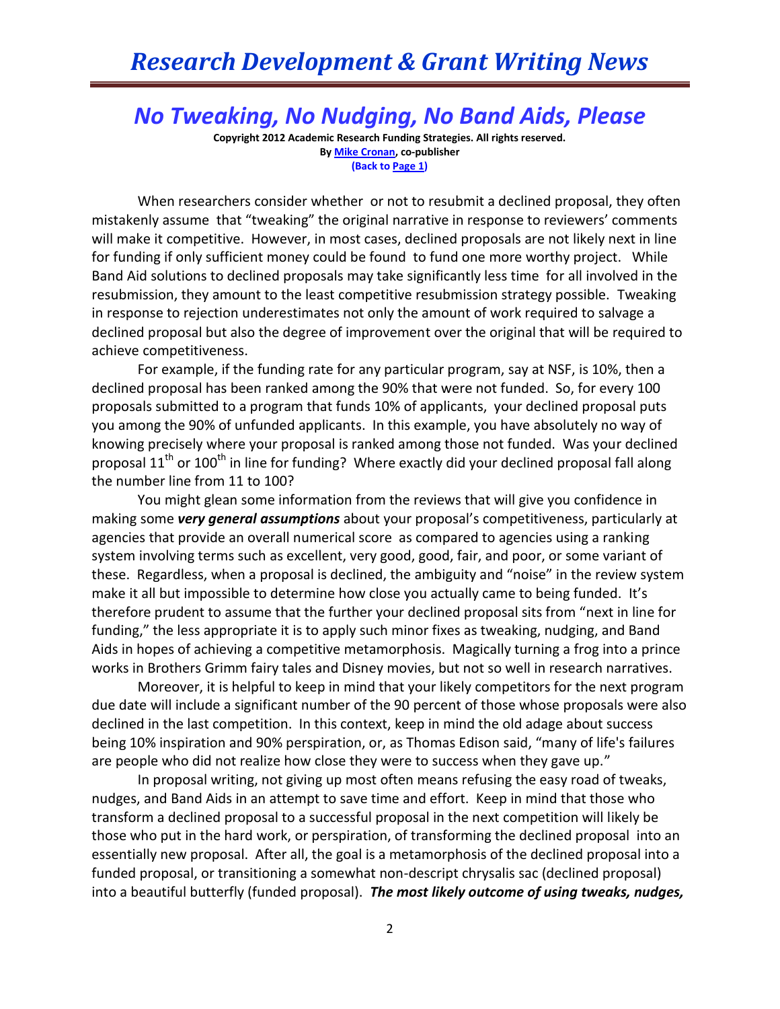*No Tweaking, No Nudging, No Band Aids, Please*

**Copyright 2012 Academic Research Funding Strategies. All rights reserved. B[y Mike Cronan,](mailto:mjcronan@gmail.com) co-publisher (Back to Page 1)**

When researchers consider whether or not to resubmit a declined proposal, they often mistakenly assume that "tweaking" the original narrative in response to reviewers' comments will make it competitive. However, in most cases, declined proposals are not likely next in line for funding if only sufficient money could be found to fund one more worthy project. While Band Aid solutions to declined proposals may take significantly less time for all involved in the resubmission, they amount to the least competitive resubmission strategy possible. Tweaking in response to rejection underestimates not only the amount of work required to salvage a declined proposal but also the degree of improvement over the original that will be required to achieve competitiveness.

For example, if the funding rate for any particular program, say at NSF, is 10%, then a declined proposal has been ranked among the 90% that were not funded. So, for every 100 proposals submitted to a program that funds 10% of applicants, your declined proposal puts you among the 90% of unfunded applicants. In this example, you have absolutely no way of knowing precisely where your proposal is ranked among those not funded. Was your declined proposal  $11<sup>th</sup>$  or  $100<sup>th</sup>$  in line for funding? Where exactly did your declined proposal fall along the number line from 11 to 100?

You might glean some information from the reviews that will give you confidence in making some *very general assumptions* about your proposal's competitiveness, particularly at agencies that provide an overall numerical score as compared to agencies using a ranking system involving terms such as excellent, very good, good, fair, and poor, or some variant of these. Regardless, when a proposal is declined, the ambiguity and "noise" in the review system make it all but impossible to determine how close you actually came to being funded. It's therefore prudent to assume that the further your declined proposal sits from "next in line for funding," the less appropriate it is to apply such minor fixes as tweaking, nudging, and Band Aids in hopes of achieving a competitive metamorphosis. Magically turning a frog into a prince works in Brothers Grimm fairy tales and Disney movies, but not so well in research narratives.

Moreover, it is helpful to keep in mind that your likely competitors for the next program due date will include a significant number of the 90 percent of those whose proposals were also declined in the last competition. In this context, keep in mind the old adage about success being 10% inspiration and 90% perspiration, or, as Thomas Edison said, "many of life's failures are people who did not realize how close they were to success when they gave up."

In proposal writing, not giving up most often means refusing the easy road of tweaks, nudges, and Band Aids in an attempt to save time and effort. Keep in mind that those who transform a declined proposal to a successful proposal in the next competition will likely be those who put in the hard work, or perspiration, of transforming the declined proposal into an essentially new proposal. After all, the goal is a metamorphosis of the declined proposal into a funded proposal, or transitioning a somewhat non-descript chrysalis sac (declined proposal) into a beautiful butterfly (funded proposal). *The most likely outcome of using tweaks, nudges,*